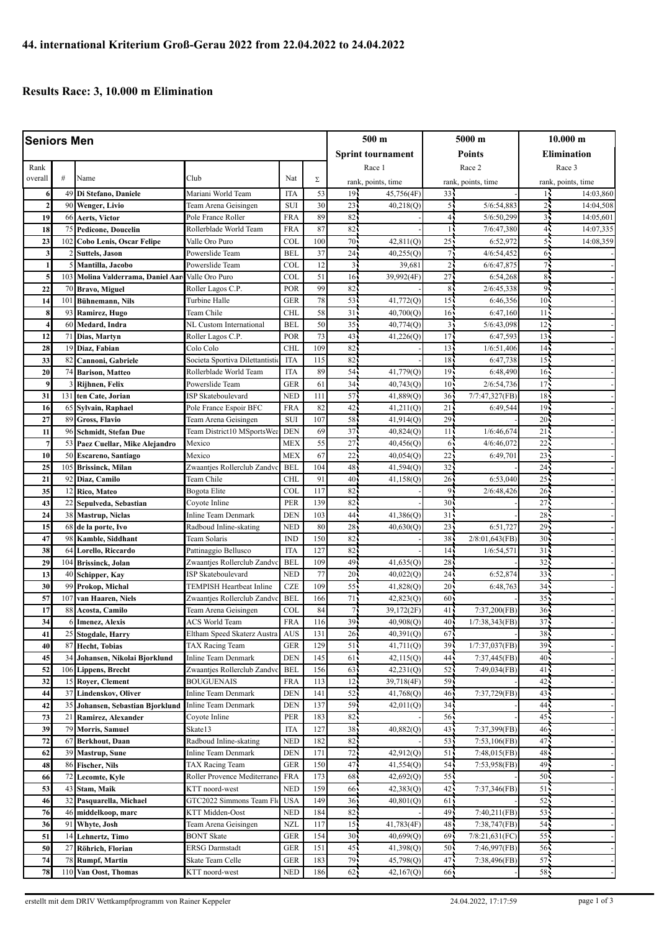## **Results Race: 3, 10.000 m Elimination**

| <b>Seniors Men</b>      |                 |                                             |                                           |                          |            | 500 m                              |                        | 5000 m                |                    | $10.000 \;{\rm m}$ |                    |
|-------------------------|-----------------|---------------------------------------------|-------------------------------------------|--------------------------|------------|------------------------------------|------------------------|-----------------------|--------------------|--------------------|--------------------|
|                         |                 |                                             |                                           |                          |            | <b>Sprint tournament</b>           |                        | Points                |                    | <b>Elimination</b> |                    |
| Rank                    |                 |                                             |                                           |                          |            |                                    | Race 1                 |                       | Race 2             |                    | Race 3             |
| overall                 | #               | Name                                        | Club                                      | Nat                      | Σ          |                                    | rank, points, time     |                       | rank, points, time |                    | rank, points, time |
| 6                       | 49              | Di Stefano, Daniele                         | Mariani World Team                        | <b>ITA</b>               | 53         | 19.                                | 45,756(4F)             | 33 <sub>1</sub>       |                    | 16                 | 14:03,860          |
| $\overline{2}$          | 90              | <b>Wenger, Livio</b>                        | Team Arena Geisingen                      | <b>SUI</b>               | 30         | 23                                 | 40,218(Q)              | 55                    | 5/6:54,883         | 25                 | 14:04,508          |
| 19                      | 66              | Aerts, Victor                               | Pole France Roller                        | <b>FRA</b>               | 89         | 82                                 |                        | 41                    | 5/6:50,299         | 35                 | 14:05,601          |
| 18                      | 75              | <b>Pedicone, Doucelin</b>                   | Rollerblade World Team                    | <b>FRA</b>               | 87         | 82                                 |                        | 19                    | 7/6:47,380         | 4 <sub>1</sub>     | 14:07,335          |
| 23                      | 102             | <b>Cobo Lenis, Oscar Felipe</b>             | Valle Oro Puro                            | COL                      | 100        | 70                                 | 42,811(Q)              | 25                    | 6:52,972           | 55                 | 14:08,359          |
| $\overline{\mathbf{3}}$ |                 | <b>Suttels, Jason</b>                       | Powerslide Team                           | <b>BEL</b>               | 37         | 24                                 | 40,255(Q)              | 71                    | 4/6:54,452         | 61                 |                    |
| 1                       |                 | Mantilla, Jacobo                            | Powerslide Team                           | COL                      | 12         | 3                                  | 39,68                  | $\overline{2}$        | 6/6:47,875         | 74                 |                    |
| 5                       | 103             | Molina Valderrama, Daniel Aar               | Valle Oro Puro                            | <b>COL</b>               | 51         | 16                                 | 39,992(4F)             | 27                    | 6:54,268           | 85                 |                    |
| 22                      | 70              | <b>Bravo, Miguel</b>                        | Roller Lagos C.P.                         | POR                      | 99         | 82                                 |                        | 8 <sub>1</sub>        | 2/6:45,338         | 95                 |                    |
| 14                      | 10 <sub>1</sub> | Bühnemann, Nils                             | Turbine Halle                             | <b>GER</b>               | 78         | 53                                 | 41,772(Q)              | 15 <sub>1</sub>       | 6:46,356           | 10 <sup>2</sup>    |                    |
| 8                       | 93              | Ramirez, Hugo                               | Team Chile                                | <b>CHL</b>               | 58         | 31                                 | 40,700(Q)              | 16 <sub>1</sub>       | 6:47,160           | 11 <sup>1</sup>    |                    |
| 4                       | 60              | Medard, Indra                               | NL Custom International                   | <b>BEL</b>               | 50         | 35                                 | 40,774(Q)              | $\overline{3}$        | 5/6:43,098         | 12 <sub>1</sub>    |                    |
| 12                      | 71              | Dias, Martyn                                | Roller Lagos C.P.                         | POR                      | 73         | 43                                 | 41,226(Q)              | 17                    | 6:47,593           | 13 <sup>7</sup>    |                    |
| 28                      | 19              | Diaz, Fabian                                | Colo Colo                                 | <b>CHL</b>               | 109        | 82                                 |                        | 13                    | 1/6:51,406         | 14 <sub>2</sub>    |                    |
| 33                      | 82              | Cannoni, Gabriele                           | Societa Sportiva Dilettantisti            | ITA                      | 115        | 82                                 |                        | 18                    | 6:47,738           | 15 <sub>1</sub>    |                    |
| 20                      | 74              | <b>Barison, Matteo</b>                      | Rollerblade World Team                    | <b>ITA</b>               | 89         | 54                                 | 41,779(Q)              | 19                    | 6:48,490           | 16                 |                    |
| 9                       |                 | Rijhnen, Felix                              | Powerslide Team                           | <b>GER</b>               | 61         | 34 <sub>1</sub>                    | 40,743(Q)              | 10 <sup>1</sup>       | 2/6:54,736         | 17 <sub>1</sub>    |                    |
| 31                      | 131             | ten Cate, Jorian                            | ISP Skateboulevard                        | <b>NED</b>               | 111        | 57                                 | 41,889(Q)              | 36                    | 7/7:47,327(FB)     | 18                 |                    |
| 16                      | 65              | Sylvain, Raphael                            | Pole France Espoir BFC                    | <b>FRA</b>               | 82         | 42                                 | 41,211(Q)              | 21                    | 6:49,544           | 19 <sub>1</sub>    |                    |
| 27                      | 89              | <b>Gross, Flavio</b>                        | Team Arena Geisingen                      | <b>SUI</b>               | 107        | 58                                 | 41,914(Q)              | 29                    |                    | $20 -$             |                    |
| 11                      | 96              | Schmidt, Stefan Due                         | Team District10 MSportsWea                | <b>DEN</b>               | 69         | 37                                 | 40,824(Q)              | 11                    | 1/6:46,674         | $21 -$             |                    |
| $\overline{7}$          | 53              | Paez Cuellar, Mike Alejandro                | Mexico                                    | <b>MEX</b>               | 55         | 27                                 | $40,456($ O)           | 6 <sup>1</sup>        | 4/6:46,072         | 22                 |                    |
| 10                      | 50              | <b>Escareno, Santiago</b>                   | Mexico                                    | <b>MEX</b>               | 67         | 22                                 | 40,054(Q)              | 22                    | 6:49,701           | $23 -$             |                    |
| 25                      | 105             | <b>Brissinck, Milan</b>                     | Zwaantjes Rollerclub Zandvo               | <b>BEL</b>               | 104        | 48                                 | 41,594(Q)              | 32                    |                    | 24 <sub>1</sub>    |                    |
| 21                      | 92              | Diaz, Camilo                                | Team Chile                                | <b>CHL</b>               | 91         | 40                                 | 41,158(Q)              | 26 <sup>1</sup>       | 6:53,040           | $25 -$             |                    |
| 35                      | 12              | Rico, Mateo                                 | Bogota Elite                              | COL                      | 117        | 82                                 |                        | 9                     | 2/6:48,426         | 26:                |                    |
| 43                      | 22              | Sepulveda, Sebastian                        | Coyote Inline                             | <b>PER</b>               | 139<br>103 | 82<br>44                           |                        | 30 <sup>1</sup><br>31 |                    | $27 -$<br>$28 -$   |                    |
| 24<br>15                | 38              | <b>Mastrup, Niclas</b>                      | Inline Team Denmark                       | <b>DEN</b><br><b>NED</b> | 80         | 28                                 | 41,386(Q)<br>40,630(Q) | 23                    | 6:51,727           | 29.                |                    |
| 47                      | 68<br>98        | de la porte, Ivo<br><b>Kamble, Siddhant</b> | Radboud Inline-skating<br>Team Solaris    | <b>IND</b>               | 150        | 82                                 |                        | 38 <sub>1</sub>       | 2/8:01,643(FB)     | 30 <sup>7</sup>    |                    |
| 38                      | 64              | Lorello, Riccardo                           | Pattinaggio Bellusco                      | <b>ITA</b>               | 127        | 82                                 |                        | 14                    | 1/6:54,571         | 31                 |                    |
| 29                      | 104             | Brissinck, Jolan                            | Zwaantjes Rollerclub Zandvo               | <b>BEL</b>               | 109        | 49                                 | 41,635(Q)              | 28                    |                    | 32                 |                    |
| 13                      | 40              | Schipper, Kay                               | <b>ISP Skateboulevard</b>                 | <b>NED</b>               | 77         | 20                                 | 40,022(Q)              | 24                    | 6:52,874           | $33 -$             |                    |
| 30                      | 99              | Prokop, Michal                              | <b>TEMPISH Heartbeat Inline</b>           | <b>CZE</b>               | 109        | 55                                 | 41,828(Q)              | 20                    | 6:48,763           | 34 <sup>1</sup>    |                    |
| 57                      | 107             | van Haaren, Niels                           | Zwaantjes Rollerclub Zandv                | <b>BEL</b>               | 166        | 71                                 | 42,823(Q)              | 60                    |                    | $35 -$             |                    |
| 17                      | 88              | Acosta, Camilo                              | Team Arena Geisingen                      | COL                      | 84         | 71                                 | 39,172(2F)             | 41 <sub>1</sub>       | 7:37,200(FB)       | $36 -$             |                    |
| 34                      |                 | 6 Imenez, Alexis                            | ACS World Team                            | <b>FRA</b>               | 116        | 39.                                | 40,908(Q)              | 40 <sup>1</sup>       | 1/7:38,343(FB)     | $37 -$             |                    |
| 41                      | 25              | Stogdale, Harry                             | Eltham Speed Skaterz Austra               | AUS                      | 131        | $26 -$                             | 40,391(0)              | $67 -$                |                    | $38 -$             |                    |
| 40                      | 87              | <b>Hecht</b> , Tobias                       | TAX Racing Team                           | <b>GER</b>               | 129        | 51                                 | 41,711(Q)              | 39 <sub>1</sub>       | 1/7:37,037(FB)     | 39 <sub>1</sub>    |                    |
| 45                      | 34              | Johansen, Nikolai Bjorklund                 | <b>Inline Team Denmark</b>                | <b>DEN</b>               | 145        | 61                                 | 42,115(Q)              | 44                    | 7:37,445(FB)       | 40-                |                    |
| 52                      | 106             | <b>Lippens, Brecht</b>                      | Zwaantjes Rollerclub Zandve               | <b>BEL</b>               | 156        | 63                                 | $\overline{42,231(Q)}$ | 52.                   | 7:49,034(FB)       | 41.                |                    |
| 32                      | 15              | Royer, Clement                              | BOUGUENAIS                                | <b>FRA</b>               | 113        | 12 <sub>1</sub>                    | 39,718(4F)             | 59.                   |                    | 42.                |                    |
| 44                      | 37              | Lindenskov, Oliver                          | Inline Team Denmark                       | <b>DEN</b>               | 141        | 52                                 | 41,768(Q)              | 46 <sub>1</sub>       | 7:37,729(FB)       | 43.                |                    |
| 42                      | 35              | Johansen, Sebastian Bjorklund               | Inline Team Denmark                       | <b>DEN</b>               | 137        | 59                                 | 42,011(Q)              | 34                    |                    | 44                 |                    |
| 73                      | 21              | Ramirez, Alexander                          | Coyote Inline                             | PER                      | 183        | 82                                 |                        | 56.                   |                    | 45.                |                    |
| 39                      | 79              | <b>Morris, Samuel</b>                       | Skate13                                   | <b>ITA</b>               | 127        | 38                                 | 40,882(Q)              | 43                    | 7:37,399(FB)       | 46 <sub>1</sub>    |                    |
| 72                      | 67              | Berkhout, Daan                              | Radboud Inline-skating                    | <b>NED</b>               | 182        | 82                                 |                        | 53                    | 7:53,106(FB)       | 47.                |                    |
| 62                      | 39              | <b>Mastrup</b> , Sune                       | Inline Team Denmark                       | <b>DEN</b>               | 171        | 72                                 | 42,912(Q)              | 51                    | 7:48,015(FB)       | 48.                |                    |
| 48                      | 86              | <b>Fischer, Nils</b>                        | TAX Racing Team                           | <b>GER</b>               | 150        | 47                                 | 41,554(Q)              | 54                    | 7:53,958(FB)       | 49.                |                    |
| 66                      | 72              | Lecomte, Kyle                               | Roller Provence Mediterrane               | <b>FRA</b>               | 173        | 68                                 | 42,692(Q)              | 55                    |                    | 50-                |                    |
| 53                      | 43              | Stam, Maik                                  | KTT noord-west                            | <b>NED</b>               | 159        | 66                                 | 42,383(Q)              | 42                    | 7:37,346(FB)       | 51.                |                    |
| 46                      | 32              | Pasquarella, Michael                        | GTC2022 Simmons Team Flo                  | <b>USA</b>               | 149        | 36 <sup>2</sup>                    | 40,801(Q)              | 61                    |                    | 52.                |                    |
| 76                      | 46              | middelkoop, marc                            | KTT Midden-Oost                           | <b>NED</b>               | 184        | 82                                 |                        | 49                    | 7:40,211(FB)       | $53 -$             |                    |
| 36                      | 91              | Whyte, Josh                                 | Team Arena Geisingen                      | <b>NZL</b>               | 117        | 15 <sub>1</sub>                    | 41,783(4F)             | 48                    | 7:38,747(FB)       | 54.                |                    |
| 51<br>50                | 14<br>27        | Lehnertz, Timo                              | <b>BONT Skate</b>                         | <b>GER</b><br><b>GER</b> | 154<br>151 | 30 <sup>7</sup><br>45 <sub>1</sub> | 40,699(Q)<br>41,398(Q) | 69<br>50 <sub>1</sub> | 7/8:21,631(FC)     | 55.<br>$56 -$      |                    |
| 74                      | 78              | Röhrich, Florian<br><b>Rumpf, Martin</b>    | <b>ERSG Darmstadt</b><br>Skate Team Celle | <b>GER</b>               | 183        | 79.                                | 45,798(Q)              | 47.                   | 7:46,997(FB)       | 57.                |                    |
| 78                      | 110             | Van Oost, Thomas                            | KTT noord-west                            | <b>NED</b>               | 186        | 62                                 | 42,167(Q)              | 66,                   | 7:38,496(FB)       | $58\,$             |                    |
|                         |                 |                                             |                                           |                          |            |                                    |                        |                       |                    |                    |                    |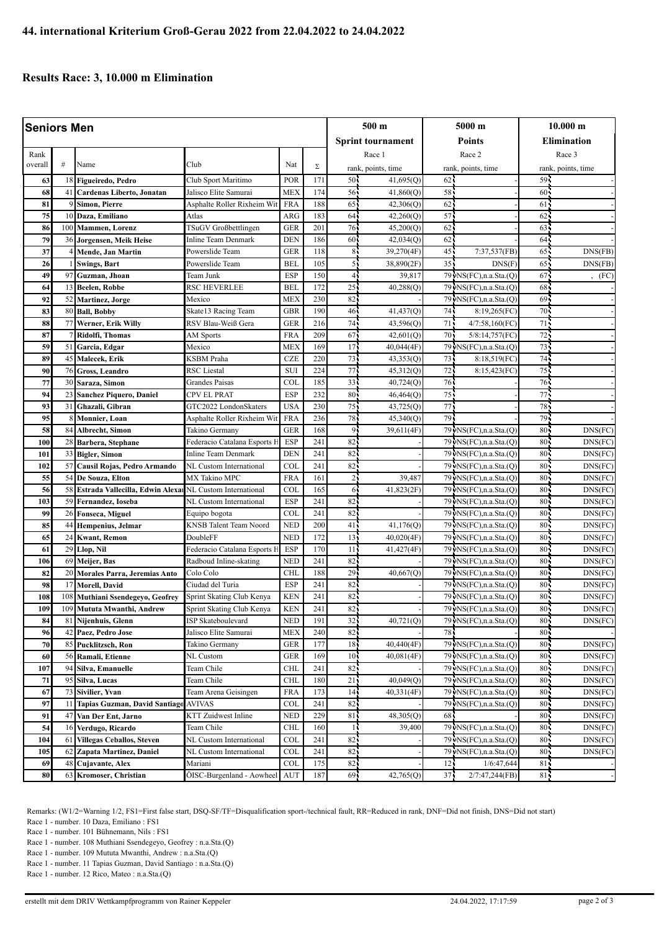## **Results Race: 3, 10.000 m Elimination**

| <b>Seniors Men</b> |          |                                      |                                              |                          |            |                       | 500 m                  |                       | 5000 m                     |                    | $10.000 \;{\rm m}$ |  |
|--------------------|----------|--------------------------------------|----------------------------------------------|--------------------------|------------|-----------------------|------------------------|-----------------------|----------------------------|--------------------|--------------------|--|
|                    |          |                                      |                                              |                          |            | Sprint tournament     |                        | Points                |                            | <b>Elimination</b> |                    |  |
|                    |          |                                      |                                              |                          |            |                       |                        |                       | Race 2                     |                    |                    |  |
| Rank<br>overall    | #        | Name                                 | Club                                         | Nat                      | Σ          |                       | Race 1                 |                       |                            |                    | Race 3             |  |
|                    |          |                                      |                                              |                          |            |                       | rank, points, time     |                       | rank, points, time         |                    | rank, points, time |  |
| 63                 | 18<br>41 | Figueiredo, Pedro                    | Club Sport Maritimo<br>Jalisco Elite Samurai | POR                      | 171<br>174 | 50 <sub>1</sub><br>56 | 41,695(Q)              | 62 <sub>1</sub><br>58 |                            | 59.<br>60          |                    |  |
| 68<br>81           |          | Cardenas Liberto, Jonatan            | Asphalte Roller Rixheim Wit                  | <b>MEX</b><br><b>FRA</b> | 188        | 65                    | 41,860(Q)<br>42,306(Q) | 62                    |                            | 61                 |                    |  |
| 75                 | 10       | Simon, Pierre<br>Daza, Emiliano      | Atlas                                        | ARG                      | 183        | 64 <sup>1</sup>       | 42,260(Q)              | 57                    |                            | 62                 |                    |  |
| 86                 | 100      | Mammen, Lorenz                       | TSuGV Großbettlingen                         | <b>GER</b>               | 201        | 76                    | 45,200(Q)              | 62                    |                            | 63                 |                    |  |
| 79                 | 36       | Jorgensen, Meik Heise                | Inline Team Denmark                          | <b>DEN</b>               | 186        | 60                    | 42,034(Q)              | 62                    |                            | 64                 |                    |  |
| 37                 |          | Mende, Jan Martin                    | Powerslide Team                              | <b>GER</b>               | 118        | 8 <sup>1</sup>        | 39,270(4F)             | 45 <sub>1</sub>       | 7:37,537(FB)               | 65                 | DNS(FB)            |  |
| 26                 |          | <b>Swings, Bart</b>                  | Powerslide Team                              | <b>BEL</b>               | 105        | 5                     | 38,890(2F)             | $35 -$                | <b>DNS</b> (F)             | 65                 | DNS(FB)            |  |
| 49                 | 97       | Guzman, Jhoan                        | Team Junk                                    | <b>ESP</b>               | 150        | 4                     | 39,817                 |                       | 79 NS(FC), n.a. Sta.(Q)    | 67                 | (FC)               |  |
| 64                 | 13       | Beelen, Robbe                        | RSC HEVERLEE                                 | <b>BEL</b>               | 172        | 25                    | 40,288(Q)              |                       | 79 NS(FC), n.a. Sta. (Q)   | 68                 |                    |  |
| 92                 | 52       | <b>Martinez</b> , Jorge              | Mexico                                       | <b>MEX</b>               | 230        | 82                    |                        |                       | 79 NS(FC), n.a. Sta.(Q)    | $69 -$             |                    |  |
| 83                 | 80       | <b>Ball, Bobby</b>                   | Skate13 Racing Team                          | <b>GBR</b>               | 190        | 46                    | 41,437(Q)              | 74,                   | 8:19,265(FC)               | 70                 |                    |  |
| 88                 | 77       | Werner, Erik Willy                   | RSV Blau-Weiß Gera                           | <b>GER</b>               | 216        | 74                    | 43,596(Q)              | 71                    | 4/7:58,160(FC)             | 71                 |                    |  |
| 87                 |          | Ridolfi, Thomas                      | AM Sports                                    | <b>FRA</b>               | 209        | 67                    | 42,601(Q)              | $70 -$                | 5/8:14,757(FC)             | 72                 |                    |  |
| 59                 | 51       | Garcia, Edgar                        | Mexico                                       | <b>MEX</b>               | 169        | 17                    | 40,044(4F)             |                       | 79 NS(FC), n.a. Sta. (O)   | 73                 |                    |  |
| 89                 | 45       | Malecek, Erik                        | KSBM Praha                                   | <b>CZE</b>               | 220        | 73                    | 43,353(Q)              | 73                    | 8:18,519(FC)               | 74.                |                    |  |
| 90                 | 76       | <b>Gross, Leandro</b>                | <b>RSC</b> Liestal                           | <b>SUI</b>               | 224        | 77                    | 45,312(Q)              | 72                    | 8:15,423(FC)               | 75                 |                    |  |
| 77                 | 30       | Saraza, Simon                        | Grandes Paisas                               | <b>COL</b>               | 185        | 33                    | 40,724(Q)              | 76                    |                            | 76.                |                    |  |
| 94                 | 23       | Sanchez Piquero, Daniel              | CPV EL PRAT                                  | <b>ESP</b>               | 232        | 80                    | 46,464(Q)              | 75                    |                            | 77.                |                    |  |
| 93                 | 31       | Ghazali, Gibran                      | GTC2022 LondonSkaters                        | <b>USA</b>               | 230        | 75                    | 43,725(Q)              | 77                    |                            | 78                 |                    |  |
| 95                 |          | Monnier, Loan                        | Asphalte Roller Rixheim Wit                  | <b>FRA</b>               | 236        | 78                    | 45,340(Q)              | 79.                   |                            | 79.                |                    |  |
| 58                 | 84       | Albrecht, Simon                      | Takino Germany                               | <b>GER</b>               | 168        | 9                     | 39,611(4F)             |                       | 79 NS(FC), n.a. Sta. (Q)   | 80 <sub>1</sub>    | DNS(FC)            |  |
| 100                | 28       | Barbera, Stephane                    | Federacio Catalana Esports H                 | <b>ESP</b>               | 241        | 82                    |                        |                       | 79 · NS(FC), n.a. Sta. (Q) | 80                 | DNS(FC)            |  |
| 101                | 33       | <b>Bigler, Simon</b>                 | Inline Team Denmark                          | <b>DEN</b>               | 241        | 82                    |                        |                       | 79 NS(FC), n.a. Sta.(Q)    | 80                 | DNS(FC)            |  |
| 102                | 57       | Causil Rojas, Pedro Armando          | NL Custom International                      | COL                      | 241        | 82                    |                        |                       | 79 NS(FC), n.a. Sta. (Q)   | 80 <sup>2</sup>    | DNS(FC)            |  |
| 55                 | 54       | De Souza, Elton                      | MX Takino MPC                                | <b>FRA</b>               | 161        | 2 <sub>1</sub>        | 39,487                 |                       | 79 NS(FC), n.a. Sta.(Q)    | 80                 | DNS(FC)            |  |
| 56                 | 58       | Estrada Vallecilla, Edwin Alexar     | NL Custom International                      | <b>COL</b>               | 165        | 6                     | 41,823(2F)             |                       | 79 NS(FC), n.a. Sta.(Q)    | 80                 | DNS(FC)            |  |
| 103                | 59       | Fernandez, Ioseba                    | NL Custom International                      | <b>ESP</b>               | 241        | 82                    |                        |                       | 79 NS(FC), n.a. Sta. (Q)   | 80 <sub>1</sub>    | DNS(FC)            |  |
| 99                 | 26       | Fonseca, Miguel                      | Equipo bogota                                | COL                      | 241        | 82                    |                        |                       | 79 · NS(FC), n.a. Sta. (Q) | $80 -$             | DNS(FC)            |  |
| 85                 | 44       | Hempenius, Jelmar                    | KNSB Talent Team Noord                       | <b>NED</b>               | 200        | 41                    | 41,176(Q)              |                       | 79 NS(FC), n.a. Sta.(Q)    | 80                 | DNS(FC)            |  |
| 65                 | 24       | <b>Kwant, Remon</b>                  | DoubleFF                                     | <b>NED</b>               | 172        | 13                    | 40,020(4F)             |                       | 79 NS(FC), n.a. Sta.(Q)    | 80 <sup>2</sup>    | DNS(FC)            |  |
| 61                 | 29       | Llop, Nil                            | Federacio Catalana Esports H                 | ESP                      | 170        | 11                    | 41,427(4F)             |                       | 79 · NS(FC), n.a. Sta. (Q) | 80                 | DNS(FC)            |  |
| 106                | 69       | Meijer, Bas                          | Radboud Inline-skating                       | <b>NED</b>               | 241        | 82                    |                        |                       | 79 NS(FC), n.a. Sta.(Q)    | 80                 | DNS(FC)            |  |
| 82                 | 20       | Morales Parra, Jeremias Anto         | Colo Colo                                    | <b>CHL</b>               | 188        | 29                    | 40,667(Q)              |                       | 79 NS(FC), n.a. Sta. (Q)   | 80                 | DNS(FC)            |  |
| 98                 | 17       | <b>Morell, David</b>                 | Ciudad del Turia                             | <b>ESP</b>               | 241        | 82                    |                        |                       | 79 NS(FC), n.a. Sta.(Q)    | $80 -$             | DNS(FC)            |  |
| 108                | 108      | Muthiani Ssendegeyo, Geofrey         | Sprint Skating Club Kenya                    | <b>KEN</b>               | 241        | 82                    |                        |                       | 79 NS(FC), n.a. Sta.(Q)    | 80                 | DNS(FC)            |  |
| 109                | 109      | Mututa Mwanthi, Andrew               | Sprint Skating Club Kenya                    | $\operatorname{KEN}$     | 241        | 82                    |                        |                       | 79 NS(FC), n.a. Sta. (Q)   | 80 <sub>1</sub>    | DNS(FC)            |  |
| 84                 | 81       | Nijenhuis, Glenn                     | ISP Skateboulevard                           | <b>NED</b>               | 191        | 32                    | 40,721(Q)              |                       | 79 · NS(FC), n.a. Sta. (Q) | $80 -$             | DNS(FC)            |  |
| 96                 | 42       | Paez, Pedro Jose                     | Jalisco Elite Samurai                        | MEX                      | 240        | 82                    |                        | 78.                   |                            | $80 -$             |                    |  |
| ${\bf 70}$         | 85       | Pucklitzsch, Ron                     | Takino Germany                               | GER                      | 177        | 18 <sub>1</sub>       | 40,440(4F)             |                       | 79 NS(FC), n.a. Sta.(Q)    | 80.                | DNS(FC)            |  |
| 60                 | 56       | Ramali, Etienne                      | NL Custom                                    | <b>GER</b>               | 169        | 10 <sub>1</sub>       | 40,081(4F)             |                       | 79 NS(FC), n.a. Sta. (Q)   | 80-                | DNS(FC)            |  |
| 107                | 94       | Silva, Emanuelle                     | Team Chile                                   | <b>CHL</b>               | 241        | 82                    |                        |                       | 79 NS(FC), n.a. Sta. (Q)   | 80.                | DNS(FC)            |  |
| 71                 | 95       | Silva, Lucas                         | Team Chile                                   | <b>CHL</b>               | 180        | 21                    | 40,049(Q)              |                       | 79 NS(FC), n.a. Sta. (Q)   | 80 <sup>2</sup>    | DNS(FC)            |  |
| 67                 | 73       | Sivilier, Yvan                       | Team Arena Geisingen                         | <b>FRA</b>               | 173        | 14 <sub>1</sub>       | 40,331(4F)             |                       | 79 · NS(FC), n.a. Sta. (Q) | $80 -$             | DNS(FC)            |  |
| 97                 | 11       | Tapias Guzman, David Santiago AVIVAS |                                              | <b>COL</b>               | 241        | 82                    |                        |                       | 79 NS(FC), n.a. Sta. (Q)   | 80.                | DNS(FC)            |  |
| 91                 | 47       | Van Der Ent, Jarno                   | KTT Zuidwest Inline                          | <b>NED</b>               | 229        | 81                    | 48,305(Q)              | 68.                   |                            | 80.                | DNS(FC)            |  |
| 54                 | 16       | Verdugo, Ricardo                     | Team Chile                                   | <b>CHL</b>               | 160        |                       | 39,400                 |                       | 79 · NS(FC), n.a. Sta. (Q) | $80 -$             | DNS(FC)            |  |
| 104                | 61       | <b>Villegas Ceballos, Steven</b>     | NL Custom International                      | <b>COL</b>               | 241        | 82                    |                        |                       | 79 NS(FC), n.a. Sta. (Q)   | 80                 | DNS(FC)            |  |
| 105                | 62       | Zapata Martinez, Daniel              | NL Custom International                      | COL                      | 241        | 82                    |                        |                       | 79 NS(FC), n.a. Sta.(Q)    | 80.                | DNS(FC)            |  |
| 69                 | 48       | Cujavante, Alex                      | Mariani                                      | COL                      | 175        | 82                    |                        | 12 <sup>1</sup>       | 1/6:47,644                 | 81 <sub>5</sub>    |                    |  |
| 80                 | 63       | Kromoser, Christian                  | ÖISC-Burgenland - Aowheel                    | AUT                      | 187        | 69.                   | 42,765(Q)              | 37.                   | 2/7:47,244(FB)             | 81.                |                    |  |

Remarks: (W1/2=Warning 1/2, FS1=First false start, DSQ-SF/TF=Disqualification sport-/technical fault, RR=Reduced in rank, DNF=Did not finish, DNS=Did not start)

Race 1 - number. 10 Daza, Emiliano : FS1 Race 1 - number. 101 Bühnemann, Nils : FS1

Race 1 - number. 108 Muthiani Ssendegeyo, Geofrey : n.a.Sta.(Q) Race 1 - number. 109 Mututa Mwanthi, Andrew : n.a.Sta.(Q)

Race 1 - number. 11 Tapias Guzman, David Santiago : n.a.Sta.(Q)

Race 1 - number. 12 Rico, Mateo : n.a.Sta.(Q)